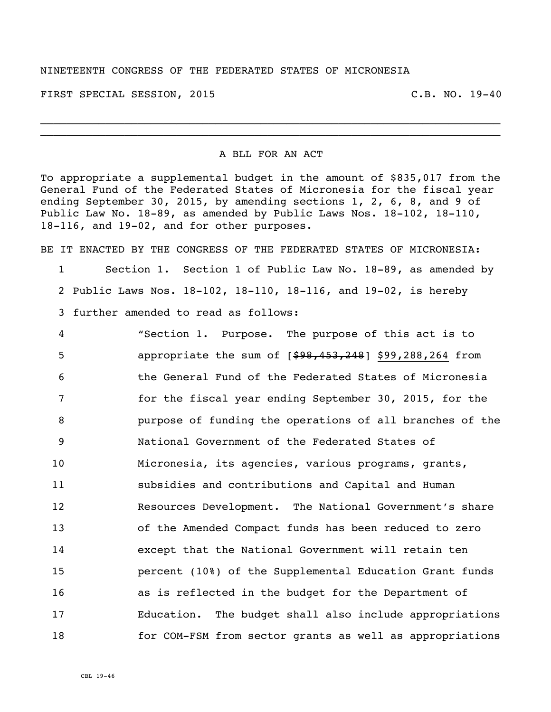## NINETEENTH CONGRESS OF THE FEDERATED STATES OF MICRONESIA

FIRST SPECIAL SESSION, 2015 C.B. NO. 19-40

A BLL FOR AN ACT

 $\_$ \_\_\_\_\_\_\_\_\_\_\_\_\_\_\_\_\_\_\_\_\_\_\_\_\_\_\_\_\_\_\_\_\_\_\_\_\_\_\_\_\_\_\_\_\_\_\_\_\_\_\_\_\_\_\_\_\_\_\_\_\_\_\_\_\_\_\_\_\_\_\_

To appropriate a supplemental budget in the amount of \$835,017 from the General Fund of the Federated States of Micronesia for the fiscal year ending September 30, 2015, by amending sections 1, 2, 6, 8, and 9 of Public Law No. 18-89, as amended by Public Laws Nos. 18-102, 18-110, 18-116, and 19-02, and for other purposes.

BE IT ENACTED BY THE CONGRESS OF THE FEDERATED STATES OF MICRONESIA: 1 Section 1. Section 1 of Public Law No. 18-89, as amended by

2 Public Laws Nos. 18-102, 18-110, 18-116, and 19-02, is hereby 3 further amended to read as follows:

 "Section 1. Purpose. The purpose of this act is to **b** appropriate the sum of  $[$ \$98,453,248] \$99,288,264 from the General Fund of the Federated States of Micronesia for the fiscal year ending September 30, 2015, for the purpose of funding the operations of all branches of the National Government of the Federated States of Micronesia, its agencies, various programs, grants, subsidies and contributions and Capital and Human Resources Development. The National Government's share of the Amended Compact funds has been reduced to zero except that the National Government will retain ten percent (10%) of the Supplemental Education Grant funds as is reflected in the budget for the Department of Education. The budget shall also include appropriations for COM-FSM from sector grants as well as appropriations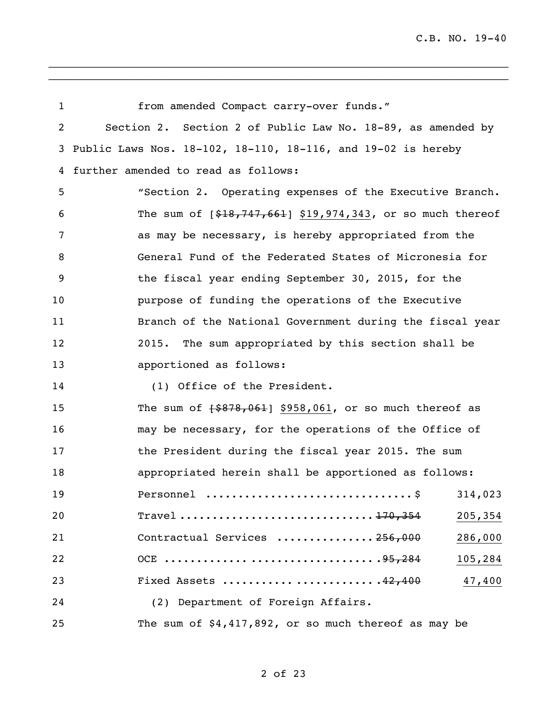| 1              | from amended Compact carry-over funds."                      |
|----------------|--------------------------------------------------------------|
| $\overline{c}$ | Section 2. Section 2 of Public Law No. 18-89, as amended by  |
| 3              | Public Laws Nos. 18-102, 18-110, 18-116, and 19-02 is hereby |
| 4              | further amended to read as follows:                          |
| 5              | "Section 2. Operating expenses of the Executive Branch.      |
| 6              | The sum of $[$18,747,661]$ \$19,974,343, or so much thereof  |
| 7              | as may be necessary, is hereby appropriated from the         |
| 8              | General Fund of the Federated States of Micronesia for       |
| 9              | the fiscal year ending September 30, 2015, for the           |
| 10             | purpose of funding the operations of the Executive           |
| 11             | Branch of the National Government during the fiscal year     |
| 12             | The sum appropriated by this section shall be<br>2015.       |
| 13             | apportioned as follows:                                      |
| 14             | (1) Office of the President.                                 |
| 15             | The sum of $\{ $878,061$ \$958,061, or so much thereof as    |
| 16             | may be necessary, for the operations of the Office of        |
| 17             | the President during the fiscal year 2015. The sum           |
| 18             | appropriated herein shall be apportioned as follows:         |
| 19             | 314,023<br>. \$<br>Personnel                                 |
| 20             | 205,354                                                      |
| 21             | Contractual Services  256,000<br>286,000                     |
| 22             | 105,284                                                      |
| 23             | Fixed Assets 42,400<br>47,400                                |
| 24             | (2) Department of Foreign Affairs.                           |
| 25             | The sum of \$4,417,892, or so much thereof as may be         |

 $\_$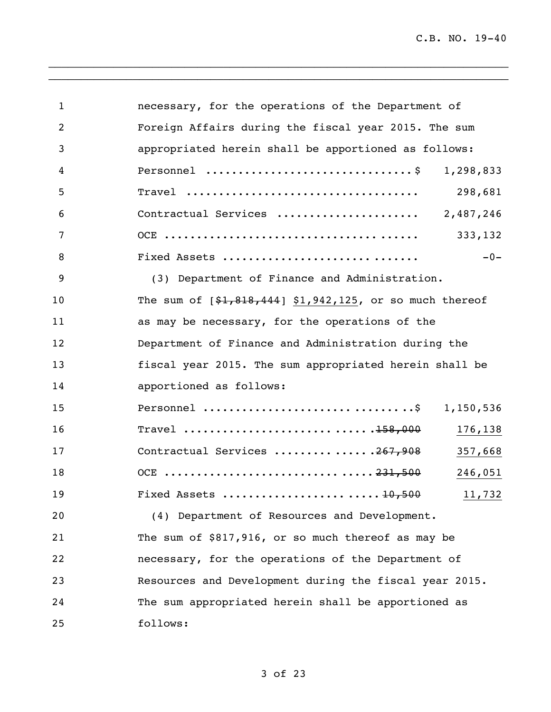C.B. NO. 19-40

| $\mathbf{1}$ | necessary, for the operations of the Department of        |
|--------------|-----------------------------------------------------------|
| 2            | Foreign Affairs during the fiscal year 2015. The sum      |
| 3            | appropriated herein shall be apportioned as follows:      |
| 4            | 1,298,833                                                 |
| 5            | $\texttt{True}$<br>298,681                                |
| 6            | Contractual Services<br>2,487,246                         |
| 7            | 333,132                                                   |
| 8            | $-0-$<br>Fixed Assets                                     |
| 9            | (3) Department of Finance and Administration.             |
| 10           | The sum of $[$1,818,444]$ \$1,942,125, or so much thereof |
| 11           | as may be necessary, for the operations of the            |
| 12           | Department of Finance and Administration during the       |
| 13           | fiscal year 2015. The sum appropriated herein shall be    |
| 14           | apportioned as follows:                                   |
| 15           | 1,150,536                                                 |
| 16           | 176,138                                                   |
| 17           | Contractual Services 267,908<br>357,668                   |
| 18           | 246,051                                                   |
| 19           | 11,732                                                    |
| 20           | (4) Department of Resources and Development.              |
| 21           | The sum of \$817,916, or so much thereof as may be        |
| 22           | necessary, for the operations of the Department of        |
| 23           | Resources and Development during the fiscal year 2015.    |
| 24           | The sum appropriated herein shall be apportioned as       |
| 25           | follows:                                                  |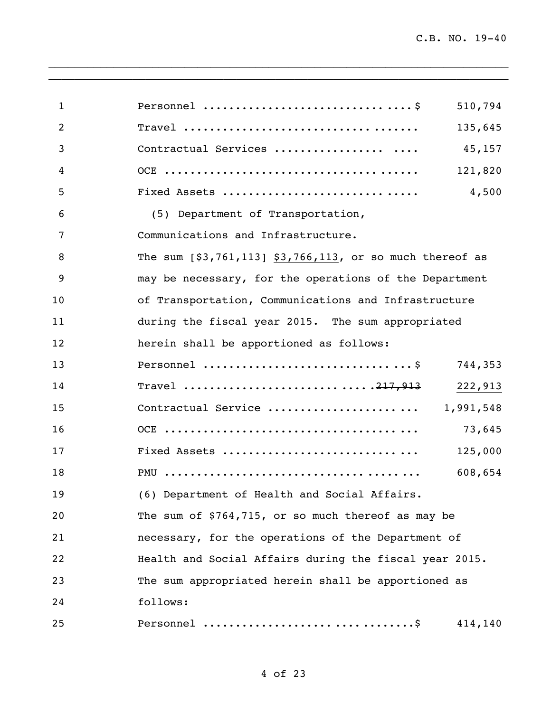| 1              | 510,794                                                       |
|----------------|---------------------------------------------------------------|
| 2              | 135,645                                                       |
| 3              | Contractual Services<br>45,157                                |
| $\overline{4}$ | 121,820                                                       |
| 5              | Fixed Assets<br>4,500                                         |
| 6              | (5) Department of Transportation,                             |
| 7              | Communications and Infrastructure.                            |
| 8              | The sum $\{33, 761, 113\}$ \$3,766,113, or so much thereof as |
| 9              | may be necessary, for the operations of the Department        |
| 10             | of Transportation, Communications and Infrastructure          |
| 11             | during the fiscal year 2015. The sum appropriated             |
| 12             | herein shall be apportioned as follows:                       |
| 13             | 744,353                                                       |
| 14             | 222,913                                                       |
| 15             | Contractual Service  1,991,548                                |
| 16             | 73,645                                                        |
| 17             | Fixed Assets<br>125,000                                       |
| 18             | 608,654                                                       |
| 19             | (6) Department of Health and Social Affairs.                  |
| 20             | The sum of \$764,715, or so much thereof as may be            |
| 21             | necessary, for the operations of the Department of            |
| 22             | Health and Social Affairs during the fiscal year 2015.        |
| 23             | The sum appropriated herein shall be apportioned as           |
| 24             | follows:                                                      |
| 25             | 414,140                                                       |

 $\_$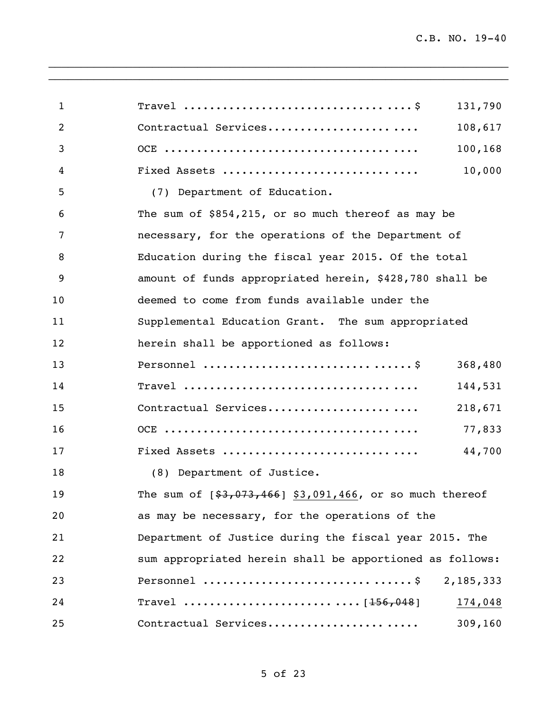| $\mathbf{1}$   | Travel $\dots\dots\dots\dots\dots\dots\dots\dots\dots\dots\dots$ .<br>131,790    |  |
|----------------|----------------------------------------------------------------------------------|--|
| $\overline{2}$ | Contractual Services<br>108,617                                                  |  |
| 3              | 100,168                                                                          |  |
| 4              | 10,000<br>Fixed Assets                                                           |  |
| 5              | (7) Department of Education.                                                     |  |
| 6              | The sum of \$854,215, or so much thereof as may be                               |  |
| 7              | necessary, for the operations of the Department of                               |  |
| 8              | Education during the fiscal year 2015. Of the total                              |  |
| 9              | amount of funds appropriated herein, \$428,780 shall be                          |  |
| 10             | deemed to come from funds available under the                                    |  |
| 11             | Supplemental Education Grant. The sum appropriated                               |  |
| 12             | herein shall be apportioned as follows:                                          |  |
| 13             | 368,480                                                                          |  |
| 14             | 144,531                                                                          |  |
| 15             | Contractual Services<br>218,671                                                  |  |
| 16             | 77,833                                                                           |  |
| 17             | Fixed Assets<br>44,700                                                           |  |
| 18             | (8) Department of Justice.                                                       |  |
| 19             | The sum of $[$3,073,466]$ \$3,091,466, or so much thereof                        |  |
| 20             | as may be necessary, for the operations of the                                   |  |
| 21             | Department of Justice during the fiscal year 2015. The                           |  |
| 22             | sum appropriated herein shall be apportioned as follows:                         |  |
| 23             | Personnel $\ldots \ldots \ldots \ldots \ldots \ldots \ldots \ldots$<br>2,185,333 |  |
| 24             | 174,048                                                                          |  |
| 25             | Contractual Services<br>309,160                                                  |  |

 $\_$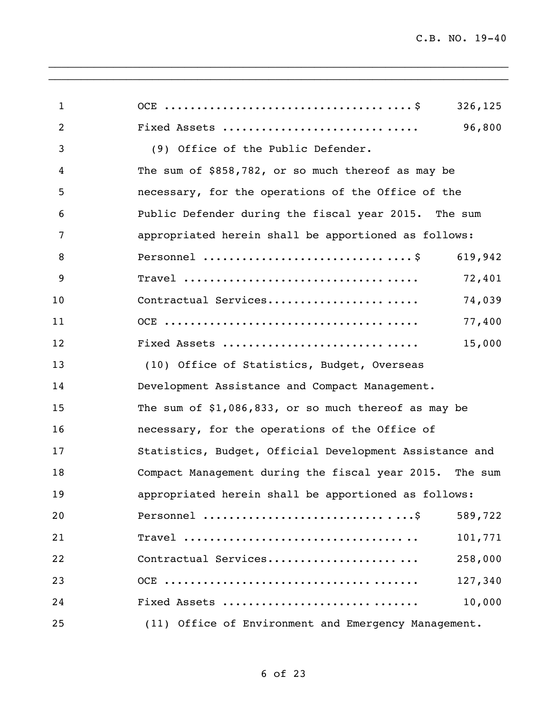| $\mathbf{1}$ | 326,125                                                 |
|--------------|---------------------------------------------------------|
| 2            | 96,800<br>Fixed Assets                                  |
| 3            | (9) Office of the Public Defender.                      |
| 4            | The sum of \$858,782, or so much thereof as may be      |
| 5            | necessary, for the operations of the Office of the      |
| 6            | Public Defender during the fiscal year 2015. The sum    |
| 7            | appropriated herein shall be apportioned as follows:    |
| 8            | 619,942                                                 |
| 9            | 72,401                                                  |
| 10           | Contractual Services<br>74,039                          |
| 11           | 77,400                                                  |
| 12           | Fixed Assets<br>15,000                                  |
| 13           | (10) Office of Statistics, Budget, Overseas             |
| 14           | Development Assistance and Compact Management.          |
| 15           | The sum of $$1,086,833$ , or so much thereof as may be  |
| 16           | necessary, for the operations of the Office of          |
| 17           | Statistics, Budget, Official Development Assistance and |
| 18           | Compact Management during the fiscal year 2015. The sum |
| 19           | appropriated herein shall be apportioned as follows:    |
| 20           | 589,722                                                 |
| 21           | 101,771                                                 |
| 22           | Contractual Services<br>258,000                         |
| 23           | 127,340                                                 |
| 24           | 10,000<br>Fixed Assets                                  |
| 25           | (11) Office of Environment and Emergency Management.    |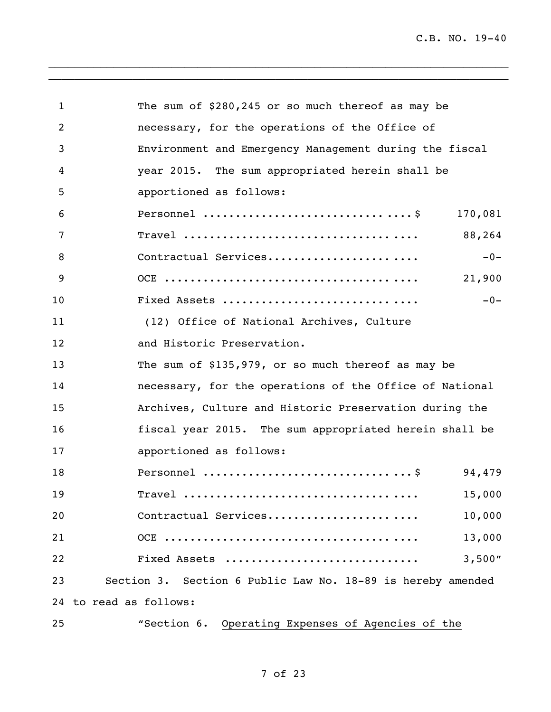| $\mathbf{1}$ | The sum of \$280,245 or so much thereof as may be           |  |  |
|--------------|-------------------------------------------------------------|--|--|
| 2            | necessary, for the operations of the Office of              |  |  |
| 3            | Environment and Emergency Management during the fiscal      |  |  |
| 4            | year 2015. The sum appropriated herein shall be             |  |  |
| 5            | apportioned as follows:                                     |  |  |
| 6            | 170,081                                                     |  |  |
| 7            | 88,264                                                      |  |  |
| 8            | Contractual Services<br>$-0-$                               |  |  |
| 9            | 21,900                                                      |  |  |
| 10           | $-0-$<br>Fixed Assets                                       |  |  |
| 11           | (12) Office of National Archives, Culture                   |  |  |
| 12           | and Historic Preservation.                                  |  |  |
| 13           | The sum of \$135,979, or so much thereof as may be          |  |  |
| 14           | necessary, for the operations of the Office of National     |  |  |
| 15           | Archives, Culture and Historic Preservation during the      |  |  |
| 16           | fiscal year 2015. The sum appropriated herein shall be      |  |  |
| 17           | apportioned as follows:                                     |  |  |
| 18           | 94,479                                                      |  |  |
| 19           | 15,000<br>$\texttt{True}$                                   |  |  |
| 20           | Contractual Services<br>10,000                              |  |  |
| 21           | 13,000                                                      |  |  |
| 22           | 3,500"<br>Fixed Assets                                      |  |  |
| 23           | Section 3. Section 6 Public Law No. 18-89 is hereby amended |  |  |
|              | 24 to read as follows:                                      |  |  |
| 25           | "Section 6. Operating Expenses of Agencies of the           |  |  |

## of 23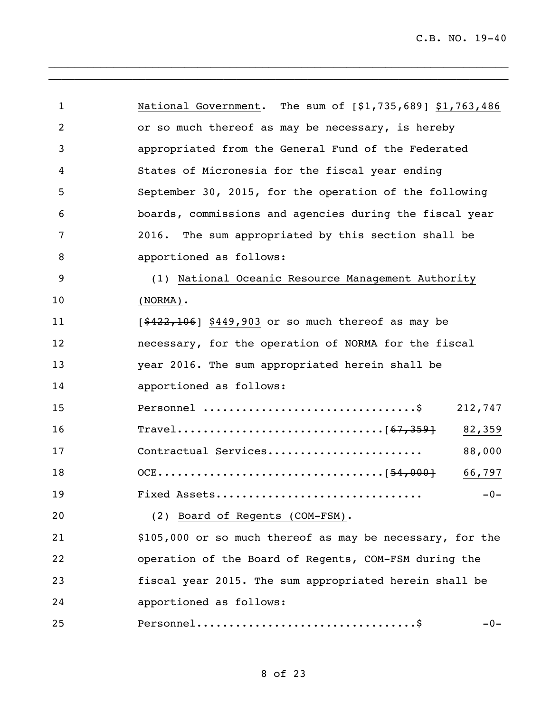| $\mathbf{1}$ | National Government. The sum of [\$1,735,689] \$1,763,486 |
|--------------|-----------------------------------------------------------|
| 2            | or so much thereof as may be necessary, is hereby         |
| 3            | appropriated from the General Fund of the Federated       |
| 4            | States of Micronesia for the fiscal year ending           |
| 5            | September 30, 2015, for the operation of the following    |
| 6            | boards, commissions and agencies during the fiscal year   |
| 7            | 2016. The sum appropriated by this section shall be       |
| 8            | apportioned as follows:                                   |
| 9            | (1) National Oceanic Resource Management Authority        |
| 10           | $(NORMA)$ .                                               |
| 11           | $[ $422, 106]$ \$449,903 or so much thereof as may be     |
| 12           | necessary, for the operation of NORMA for the fiscal      |
| 13           | year 2016. The sum appropriated herein shall be           |
| 14           | apportioned as follows:                                   |
| 15           | 212,747                                                   |
| 16           | 82,359                                                    |
| 17           | Contractual Services<br>88,000                            |
| 18           | 66,797                                                    |
| 19           | $-0-$<br>Fixed Assets                                     |
| 20           | (2) Board of Regents (COM-FSM).                           |
| 21           | \$105,000 or so much thereof as may be necessary, for the |
| 22           | operation of the Board of Regents, COM-FSM during the     |
| 23           | fiscal year 2015. The sum appropriated herein shall be    |
| 24           | apportioned as follows:                                   |
| 25           | $-0-$                                                     |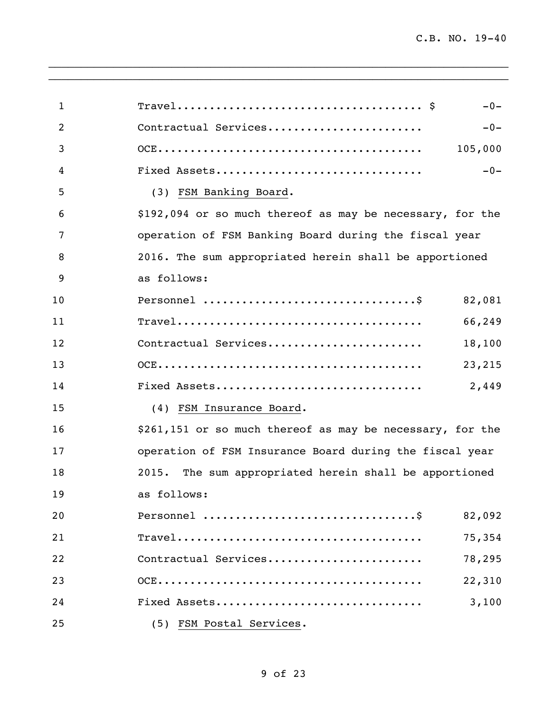| $\mathbf{1}$ | $-0-$                                                                                                           |
|--------------|-----------------------------------------------------------------------------------------------------------------|
| 2            | Contractual Services<br>$-0-$                                                                                   |
| 3            | 105,000                                                                                                         |
| 4            | $-0-$<br>Fixed Assets                                                                                           |
| 5            | (3) FSM Banking Board.                                                                                          |
| 6            | \$192,094 or so much thereof as may be necessary, for the                                                       |
| 7            | operation of FSM Banking Board during the fiscal year                                                           |
| 8            | 2016. The sum appropriated herein shall be apportioned                                                          |
| 9            | as follows:                                                                                                     |
| 10           | 82,081                                                                                                          |
| 11           | 66,249                                                                                                          |
| 12           | Contractual Services<br>18,100                                                                                  |
| 13           | 23,215                                                                                                          |
| 14           | 2,449<br>Fixed Assets                                                                                           |
| 15           | (4) FSM Insurance Board.                                                                                        |
| 16           | \$261,151 or so much thereof as may be necessary, for the                                                       |
| 17           | operation of FSM Insurance Board during the fiscal year                                                         |
| 18           | 2015. The sum appropriated herein shall be apportioned                                                          |
| 19           | as follows:                                                                                                     |
| 20           | 82,092                                                                                                          |
| 21           | $\texttt{Travel} \dots \dots \dots \dots \dots \dots \dots \dots \dots \dots \dots \dots \dots \dots$<br>75,354 |
| 22           | Contractual Services<br>78,295                                                                                  |
| 23           | 22,310                                                                                                          |
| 24           | 3,100<br>Fixed Assets                                                                                           |
| 25           | (5) FSM Postal Services.                                                                                        |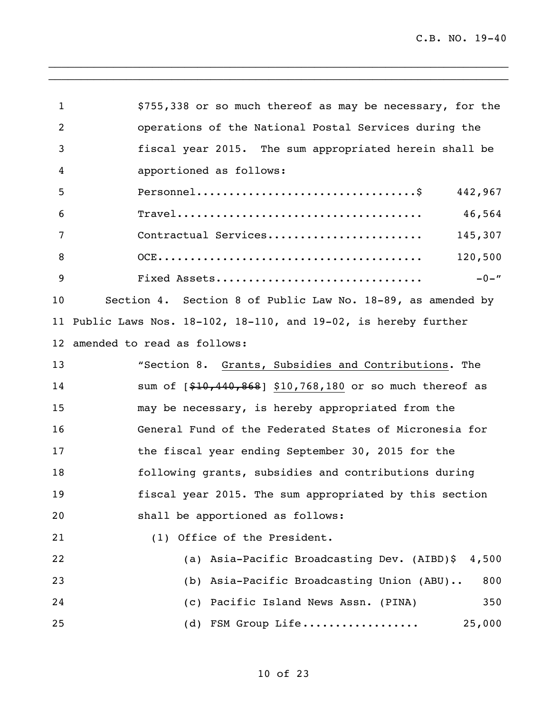| $\mathbf{1}$ | \$755,338 or so much thereof as may be necessary, for the                                                       |  |
|--------------|-----------------------------------------------------------------------------------------------------------------|--|
| 2            | operations of the National Postal Services during the                                                           |  |
| 3            | fiscal year 2015. The sum appropriated herein shall be                                                          |  |
| 4            | apportioned as follows:                                                                                         |  |
| 5            | 442,967                                                                                                         |  |
| 6            | 46,564<br>$\texttt{Tracel} \dots \dots \dots \dots \dots \dots \dots \dots \dots \dots \dots \dots \dots \dots$ |  |
| 7            | Contractual Services<br>145,307                                                                                 |  |
| 8            | 120,500                                                                                                         |  |
| 9            | $-0 -$ "<br>Fixed Assets                                                                                        |  |
| 10           | Section 4. Section 8 of Public Law No. 18-89, as amended by                                                     |  |
|              | 11 Public Laws Nos. 18-102, 18-110, and 19-02, is hereby further                                                |  |
|              | 12 amended to read as follows:                                                                                  |  |
| 13           | "Section 8. Grants, Subsidies and Contributions. The                                                            |  |
| 14           | sum of [\$10,440,868] \$10,768,180 or so much thereof as                                                        |  |
| 15           | may be necessary, is hereby appropriated from the                                                               |  |
| 16           | General Fund of the Federated States of Micronesia for                                                          |  |
| 17           | the fiscal year ending September 30, 2015 for the                                                               |  |
| 18           | following grants, subsidies and contributions during                                                            |  |
| 19           | fiscal year 2015. The sum appropriated by this section                                                          |  |
| 20           | shall be apportioned as follows:                                                                                |  |
| 21           | (1) Office of the President.                                                                                    |  |
| 22           | (a) Asia-Pacific Broadcasting Dev. (AIBD)\$ 4,500                                                               |  |
| 23           | (b) Asia-Pacific Broadcasting Union (ABU)<br>800                                                                |  |
| 24           | (c) Pacific Island News Assn. (PINA)<br>350                                                                     |  |
| 25           | (d) FSM Group Life<br>25,000                                                                                    |  |
|              |                                                                                                                 |  |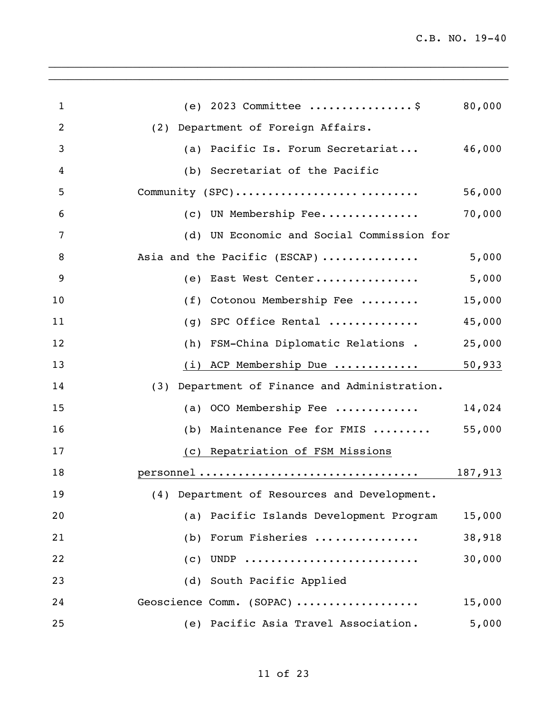| $\mathbf{1}$ | (e) 2023 Committee \$                                                                                                                                         | 80,000 |
|--------------|---------------------------------------------------------------------------------------------------------------------------------------------------------------|--------|
| 2            | (2) Department of Foreign Affairs.                                                                                                                            |        |
| 3            | (a) Pacific Is. Forum Secretariat                                                                                                                             | 46,000 |
| 4            | (b) Secretariat of the Pacific                                                                                                                                |        |
| 5            | Community (SPC)                                                                                                                                               | 56,000 |
| 6            | (c) UN Membership Fee                                                                                                                                         | 70,000 |
| 7            | (d) UN Economic and Social Commission for                                                                                                                     |        |
| 8            | Asia and the Pacific (ESCAP)                                                                                                                                  | 5,000  |
| 9            | (e) East West Center                                                                                                                                          | 5,000  |
| 10           | (f) Cotonou Membership Fee                                                                                                                                    | 15,000 |
| 11           | (g) SPC Office Rental                                                                                                                                         | 45,000 |
| 12           | (h) FSM-China Diplomatic Relations .                                                                                                                          | 25,000 |
| 13           | (i) ACP Membership Due                                                                                                                                        | 50,933 |
| 14           | (3) Department of Finance and Administration.                                                                                                                 |        |
| 15           | (a) OCO Membership Fee $\dots\dots\dots\dots$                                                                                                                 | 14,024 |
| 16           | (b) Maintenance Fee for FMIS                                                                                                                                  | 55,000 |
| 17           | (c) Repatriation of FSM Missions                                                                                                                              |        |
| 18           | $\begin{minipage}{.4\linewidth} \texttt{personnel}\ \dots\ \dots\ \dots\ \dots\ \dots\ \dots\ \dots\ \dots\ \dots\ \dots\ \dots\ \ 187,913 \\ \end{minipage}$ |        |
| 19           | (4) Department of Resources and Development.                                                                                                                  |        |
| 20           | (a) Pacific Islands Development Program                                                                                                                       | 15,000 |
| 21           | (b) Forum Fisheries                                                                                                                                           | 38,918 |
| 22           | $(c)$ UNDP                                                                                                                                                    | 30,000 |
| 23           | (d) South Pacific Applied                                                                                                                                     |        |
| 24           | Geoscience Comm. (SOPAC)                                                                                                                                      | 15,000 |
| 25           | (e) Pacific Asia Travel Association.                                                                                                                          | 5,000  |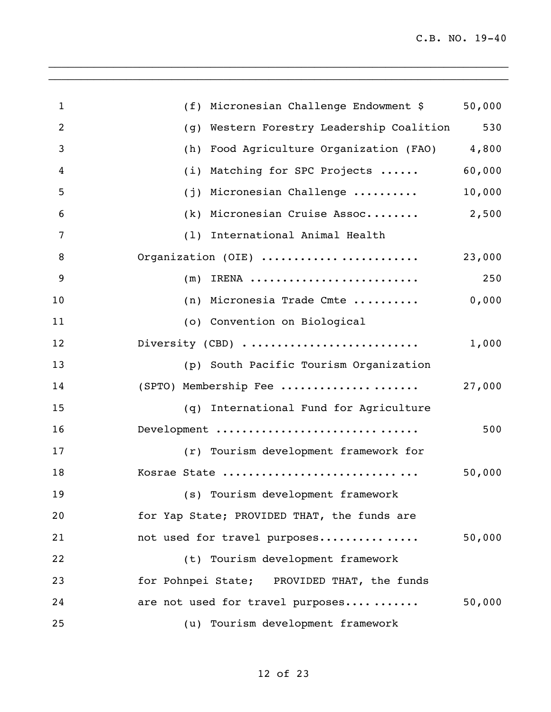| $\mathbf{1}$   | (f) Micronesian Challenge Endowment \$      | 50,000 |
|----------------|---------------------------------------------|--------|
| 2              | (g) Western Forestry Leadership Coalition   | 530    |
| 3              | (h) Food Agriculture Organization (FAO)     | 4,800  |
| $\overline{4}$ | (i) Matching for SPC Projects               | 60,000 |
| 5              | (j) Micronesian Challenge                   | 10,000 |
| 6              | (k) Micronesian Cruise Assoc                | 2,500  |
| 7              | (1) International Animal Health             |        |
| 8              | Organization (OIE)                          | 23,000 |
| 9              | $(m)$ IRENA                                 | 250    |
| 10             | (n) Micronesia Trade Cmte                   | 0,000  |
| 11             | (o) Convention on Biological                |        |
| 12             | Diversity (CBD)                             | 1,000  |
| 13             | (p) South Pacific Tourism Organization      |        |
| 14             | (SPTO) Membership Fee                       | 27,000 |
| 15             | (q) International Fund for Agriculture      |        |
| 16             | Development                                 | 500    |
| 17             | (r) Tourism development framework for       |        |
| 18             | Kosrae State                                | 50,000 |
| 19             | (s) Tourism development framework           |        |
| 20             | for Yap State; PROVIDED THAT, the funds are |        |
| 21             | not used for travel purposes                | 50,000 |
| 22             | (t) Tourism development framework           |        |
| 23             | for Pohnpei State; PROVIDED THAT, the funds |        |
| 24             | are not used for travel purposes            | 50,000 |
| 25             | (u) Tourism development framework           |        |

of 23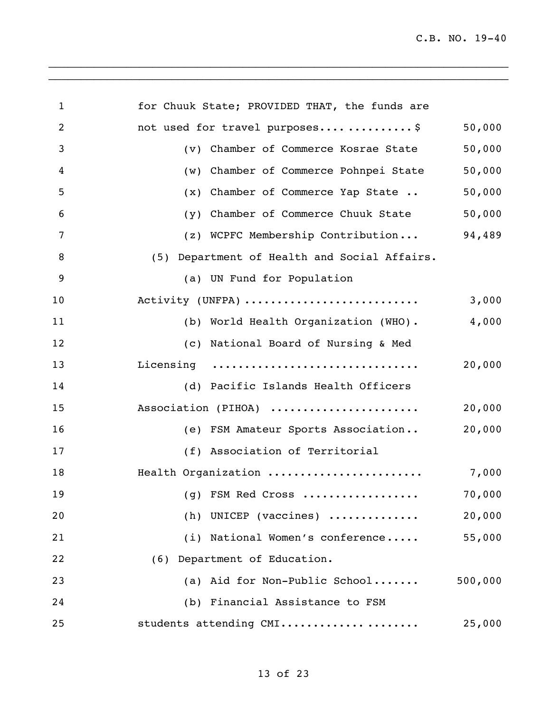C.B. NO. 19-40

| $\mathbf{1}$ | for Chuuk State; PROVIDED THAT, the funds are       |         |
|--------------|-----------------------------------------------------|---------|
| 2            | not used for travel purposes\$                      | 50,000  |
| 3            | (v) Chamber of Commerce Kosrae State                | 50,000  |
| 4            | (w) Chamber of Commerce Pohnpei State               | 50,000  |
| 5            | (x) Chamber of Commerce Yap State                   | 50,000  |
| 6            | (y) Chamber of Commerce Chuuk State                 | 50,000  |
| 7            | (z) WCPFC Membership Contribution                   | 94,489  |
| 8            | (5) Department of Health and Social Affairs.        |         |
| 9            | (a) UN Fund for Population                          |         |
| 10           | Activity (UNFPA)                                    | 3,000   |
| 11           | (b) World Health Organization (WHO).                | 4,000   |
| 12           | (c) National Board of Nursing & Med                 |         |
| 13           | Licensing                                           | 20,000  |
| 14           | (d) Pacific Islands Health Officers                 |         |
| 15           | Association (PIHOA)                                 | 20,000  |
| 16           | (e) FSM Amateur Sports Association                  | 20,000  |
| 17           | (f) Association of Territorial                      |         |
| 18           | Health Organization                                 | 7,000   |
| 19           | (g) FSM Red Cross                                   | 70,000  |
| 20           | (h) UNICEP (vaccines) $\ldots \ldots \ldots \ldots$ | 20,000  |
| 21           | (i) National Women's conference                     | 55,000  |
| 22           | (6) Department of Education.                        |         |
| 23           | (a) Aid for Non-Public School                       | 500,000 |
| 24           | (b) Financial Assistance to FSM                     |         |
| 25           | students attending CMI                              | 25,000  |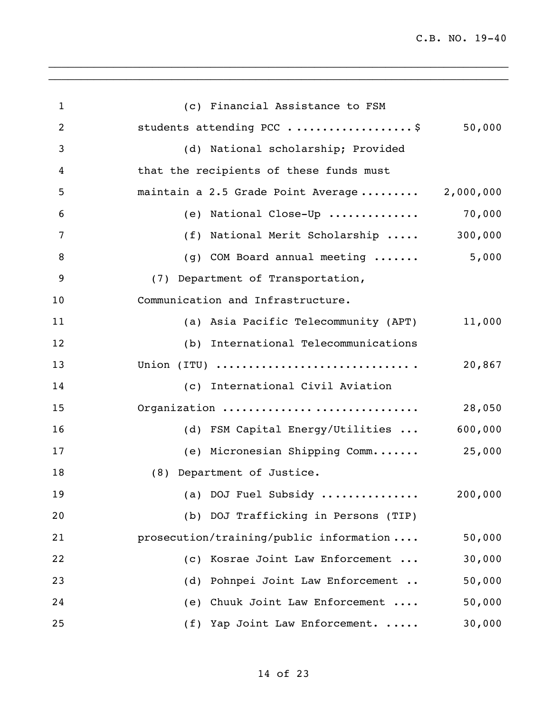C.B. NO. 19-40

| $\mathbf{1}$   | (c) Financial Assistance to FSM              |         |
|----------------|----------------------------------------------|---------|
| $\overline{2}$ | students attending PCC \$                    | 50,000  |
| 3              | (d) National scholarship; Provided           |         |
| $\overline{4}$ | that the recipients of these funds must      |         |
| 5              | maintain a 2.5 Grade Point Average 2,000,000 |         |
| 6              | (e) National Close-Up                        | 70,000  |
| $\overline{7}$ | (f) National Merit Scholarship               | 300,000 |
| 8              | (g) COM Board annual meeting                 | 5,000   |
| 9              | (7) Department of Transportation,            |         |
| 10             | Communication and Infrastructure.            |         |
| 11             | (a) Asia Pacific Telecommunity (APT)         | 11,000  |
| 12             | (b) International Telecommunications         |         |
| 13             | Union (ITU)                                  | 20,867  |
| 14             | (c) International Civil Aviation             |         |
| 15             | Organization                                 | 28,050  |
| 16             | (d) FSM Capital Energy/Utilities             | 600,000 |
| 17             | (e) Micronesian Shipping Comm                | 25,000  |
| 18             | (8) Department of Justice.                   |         |
| 19             | (a) DOJ Fuel Subsidy                         | 200,000 |
| 20             | (b) DOJ Trafficking in Persons (TIP)         |         |
| 21             | prosecution/training/public information      | 50,000  |
| 22             | (c) Kosrae Joint Law Enforcement             | 30,000  |
| 23             | (d) Pohnpei Joint Law Enforcement            | 50,000  |
| 24             | (e) Chuuk Joint Law Enforcement              | 50,000  |
| 25             | (f) Yap Joint Law Enforcement.               | 30,000  |

 $\_$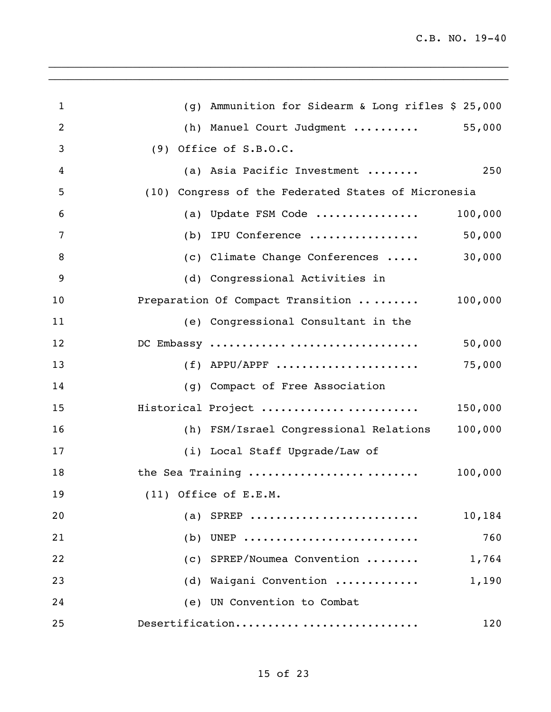| 1  | (g) Ammunition for Sidearm & Long rifles \$ 25,000  |
|----|-----------------------------------------------------|
| 2  | 55,000<br>(h) Manuel Court Judgment                 |
| 3  | $(9)$ Office of S.B.O.C.                            |
| 4  | (a) Asia Pacific Investment<br>250                  |
| 5  | (10) Congress of the Federated States of Micronesia |
| 6  | (a) Update FSM Code<br>100,000                      |
| 7  | 50,000<br>(b) IPU Conference                        |
| 8  | 30,000<br>(c) Climate Change Conferences            |
| 9  | (d) Congressional Activities in                     |
| 10 | Preparation Of Compact Transition<br>100,000        |
| 11 | (e) Congressional Consultant in the                 |
| 12 | 50,000<br>DC Embassy                                |
| 13 | 75,000<br>$(f)$ APPU/APPF                           |
| 14 | (g) Compact of Free Association                     |
| 15 | Historical Project<br>150,000                       |
| 16 | (h) FSM/Israel Congressional Relations<br>100,000   |
| 17 | (i) Local Staff Upgrade/Law of                      |
| 18 | the Sea Training<br>100,000                         |
| 19 | $(11)$ Office of E.E.M.                             |
| 20 | (a) SPREP<br>10,184                                 |
| 21 | UNEP<br>760<br>(b)                                  |
| 22 | (c) SPREP/Noumea Convention<br>1,764                |
| 23 | (d) Waigani Convention<br>1,190                     |
| 24 | (e) UN Convention to Combat                         |
| 25 | Desertification<br>120                              |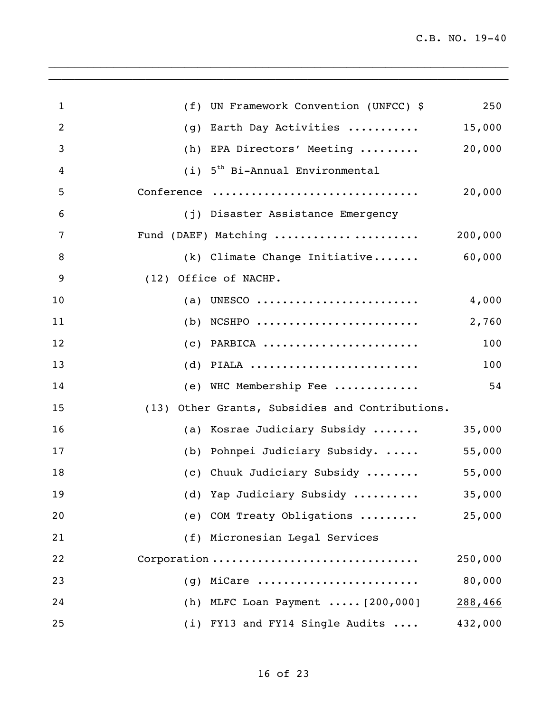| $\mathbf{1}$ | (f) UN Framework Convention (UNFCC) \$             | 250     |
|--------------|----------------------------------------------------|---------|
| 2            | Earth Day Activities<br>(q)                        | 15,000  |
| 3            | (h)<br>EPA Directors' Meeting                      | 20,000  |
| 4            | 5 <sup>th</sup> Bi-Annual Environmental<br>(i)     |         |
| 5            | Conference                                         | 20,000  |
| 6            | (j) Disaster Assistance Emergency                  |         |
| 7            | Fund (DAEF) Matching                               | 200,000 |
| 8            | (k) Climate Change Initiative 60,000               |         |
| 9            | (12) Office of NACHP.                              |         |
| 10           | UNESCO<br>(a)                                      | 4,000   |
| 11           | NCSHPO<br>(b)                                      | 2,760   |
| 12           | $(c)$ PARBICA                                      | 100     |
| 13           | $(d)$ PIALA                                        | 100     |
| 14           | (e) WHC Membership Fee                             | 54      |
| 15           | Other Grants, Subsidies and Contributions.<br>(13) |         |
| 16           | (a) Kosrae Judiciary Subsidy                       | 35,000  |
| 17           | (b) Pohnpei Judiciary Subsidy.                     | 55,000  |
| 18           | (c) Chuuk Judiciary Subsidy                        | 55,000  |
| 19           | (d) Yap Judiciary Subsidy                          | 35,000  |
| 20           | (e) COM Treaty Obligations                         | 25,000  |
| 21           | (f) Micronesian Legal Services                     |         |
| 22           | Corporation                                        | 250,000 |
| 23           | $(g)$ MiCare                                       | 80,000  |
| 24           | (h) MLFC Loan Payment $[200, 000]$                 | 288,466 |
| 25           | (i) FY13 and FY14 Single Audits                    | 432,000 |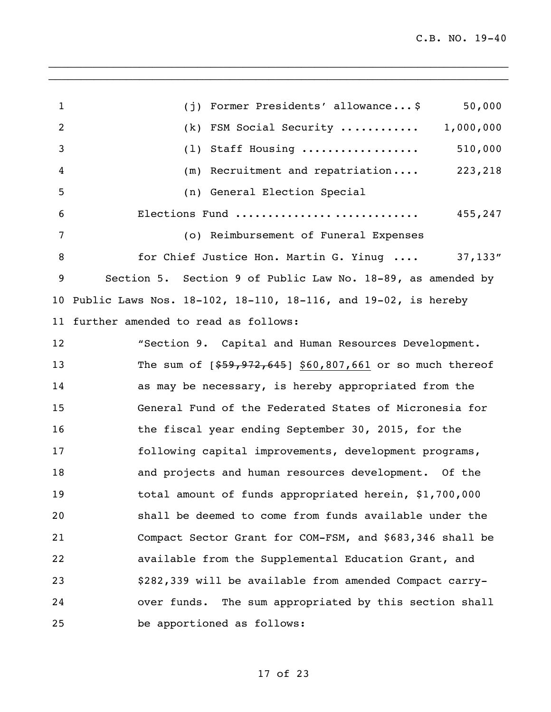1 (j) Former Presidents' allowance... \$ 50,000 (k) FSM Social Security ............ 1,000,000 (l) Staff Housing .................. 510,000 (m) Recruitment and repatriation.... 223,218 (n) General Election Special Elections Fund ............... ............. 455,247 (o) Reimbursement of Funeral Expenses 8 for Chief Justice Hon. Martin G. Yinug .... 37,133" Section 5. Section 9 of Public Law No. 18-89, as amended by Public Laws Nos. 18-102, 18-110, 18-116, and 19-02, is hereby further amended to read as follows: "Section 9. Capital and Human Resources Development. 13 The sum of  $\lceil \frac{259}{72,645} \rceil$  \$60,807,661 or so much thereof as may be necessary, is hereby appropriated from the General Fund of the Federated States of Micronesia for 16 the fiscal year ending September 30, 2015, for the following capital improvements, development programs, and projects and human resources development. Of the total amount of funds appropriated herein, \$1,700,000 shall be deemed to come from funds available under the Compact Sector Grant for COM-FSM, and \$683,346 shall be available from the Supplemental Education Grant, and \$282,339 will be available from amended Compact carry- over funds. The sum appropriated by this section shall be apportioned as follows: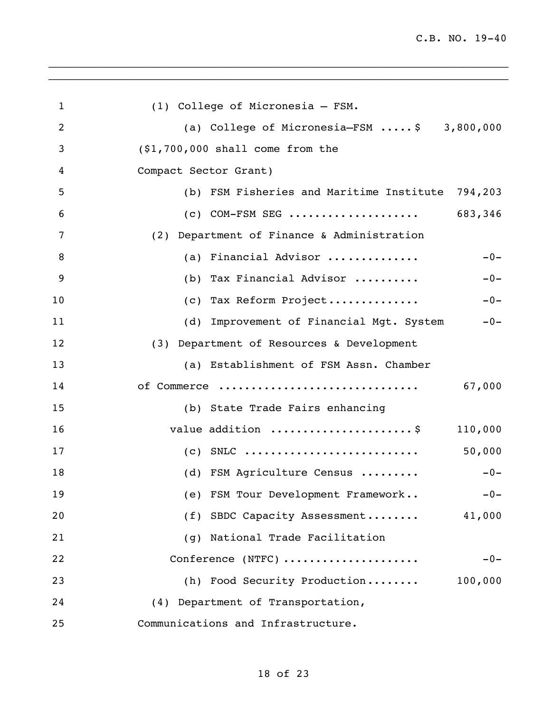| $\mathbf{1}$ | (1) College of Micronesia - FSM.                      |
|--------------|-------------------------------------------------------|
| 2            | (a) College of Micronesia-FSM $\ldots$ , \$ 3,800,000 |
| 3            | (\$1,700,000 shall come from the                      |
| 4            | Compact Sector Grant)                                 |
| 5            | (b) FSM Fisheries and Maritime Institute 794,203      |
| 6            | $(c)$ COM-FSM SEG<br>683,346                          |
| 7            | (2) Department of Finance & Administration            |
| 8            | $-0-$<br>(a) Financial Advisor                        |
| 9            | (b) Tax Financial Advisor<br>$-0-$                    |
| 10           | (c) Tax Reform Project<br>$-0-$                       |
| 11           | (d) Improvement of Financial Mgt. System -0-          |
| 12           | (3) Department of Resources & Development             |
| 13           | (a) Establishment of FSM Assn. Chamber                |
| 14           | 67,000<br>of Commerce                                 |
| 15           | (b) State Trade Fairs enhancing                       |
| 16           | value addition \$<br>110,000                          |
| 17           | 50,000                                                |
| 18           | (d) FSM Agriculture Census<br>$-0-$                   |
| 19           | (e) FSM Tour Development Framework<br>$-0-$           |
| 20           | (f) SBDC Capacity Assessment<br>41,000                |
| 21           | National Trade Facilitation<br>(q)                    |
| 22           | Conference (NTFC)<br>$-0-$                            |
| 23           | (h) Food Security Production<br>100,000               |
| 24           | (4) Department of Transportation,                     |
| 25           | Communications and Infrastructure.                    |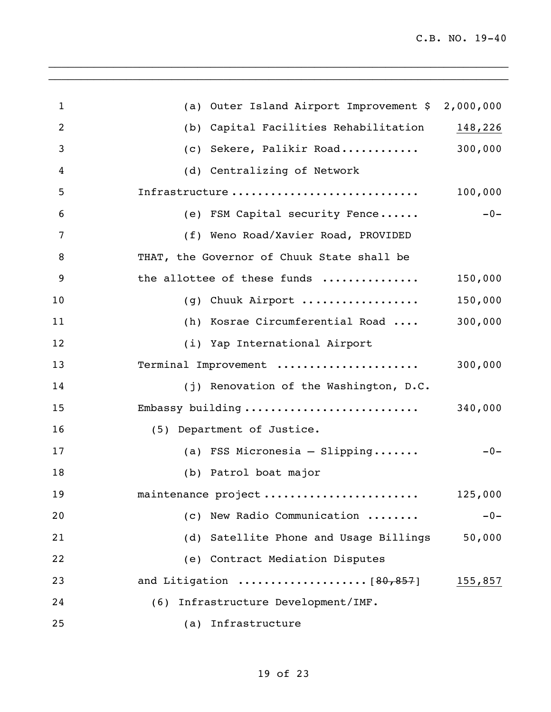| $\mathbf{1}$     | (a) Outer Island Airport Improvement \$ 2,000,000 |         |
|------------------|---------------------------------------------------|---------|
| 2                | (b) Capital Facilities Rehabilitation             | 148,226 |
| 3                | (c) Sekere, Palikir Road                          | 300,000 |
| $\boldsymbol{4}$ | (d) Centralizing of Network                       |         |
| 5                | Infrastructure                                    | 100,000 |
| 6                | (e) FSM Capital security Fence                    | $-0-$   |
| $\overline{7}$   | (f) Weno Road/Xavier Road, PROVIDED               |         |
| 8                | THAT, the Governor of Chuuk State shall be        |         |
| 9                | the allottee of these funds                       | 150,000 |
| 10               | (g) Chuuk Airport                                 | 150,000 |
| 11               | (h) Kosrae Circumferential Road                   | 300,000 |
| 12               | (i) Yap International Airport                     |         |
| 13               | Terminal Improvement                              | 300,000 |
| 14               | (j) Renovation of the Washington, D.C.            |         |
| 15               | Embassy building                                  | 340,000 |
| 16               | (5) Department of Justice.                        |         |
| 17               | (a) FSS Micronesia - Slipping                     | $-0-$   |
| 18               | (b) Patrol boat major                             |         |
| 19               | maintenance project                               | 125,000 |
| 20               | (c) New Radio Communication                       | $-0-$   |
| 21               | (d) Satellite Phone and Usage Billings            | 50,000  |
| 22               | (e) Contract Mediation Disputes                   |         |
| 23               |                                                   | 155,857 |
| 24               | (6) Infrastructure Development/IMF.               |         |
| 25               | (a) Infrastructure                                |         |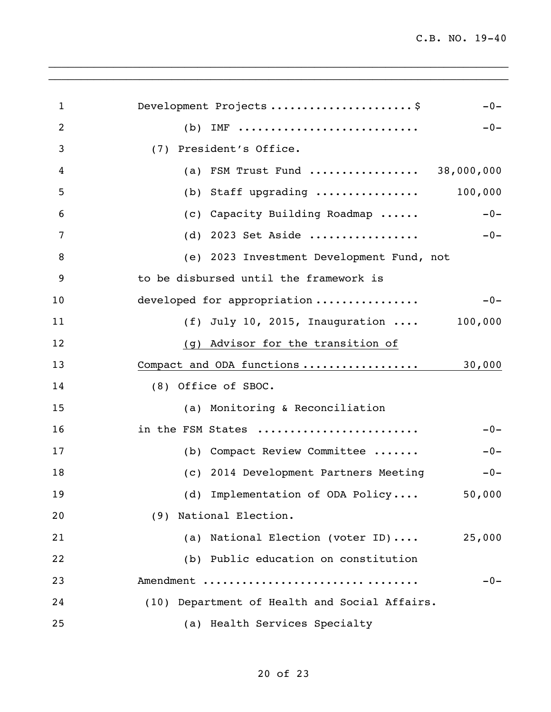| $\mathbf{1}$ | Development Projects \$<br>$-0-$               |
|--------------|------------------------------------------------|
| 2            | $IMF$<br>$-0-$<br>(b)                          |
| 3            | (7) President's Office.                        |
| 4            | FSM Trust Fund  38,000,000<br>(a)              |
| 5            | Staff upgrading  100,000<br>(b)                |
| 6            | Capacity Building Roadmap<br>$-0-$<br>(C)      |
| 7            | 2023 Set Aside<br>$-0-$<br>(d)                 |
| 8            | (e) 2023 Investment Development Fund, not      |
| 9            | to be disbursed until the framework is         |
| 10           | developed for appropriation<br>$-0-$           |
| 11           | (f) July 10, 2015, Inauguration  100,000       |
| 12           | (g) Advisor for the transition of              |
| 13           | Compact and ODA functions<br>30,000            |
| 14           | (8) Office of SBOC.                            |
| 15           | (a) Monitoring & Reconciliation                |
| 16           | in the FSM States<br>$-0-$                     |
| 17           | (b) Compact Review Committee<br>$-0-$          |
| 18           | (c) 2014 Development Partners Meeting<br>$-0-$ |
| 19           | (d) Implementation of ODA Policy 50,000        |
| 20           | (9) National Election.                         |
| 21           | (a) National Election (voter ID)<br>25,000     |
| 22           | (b) Public education on constitution           |
| 23           | Amendment<br>$-0-$                             |
| 24           | (10) Department of Health and Social Affairs.  |
| 25           | (a) Health Services Specialty                  |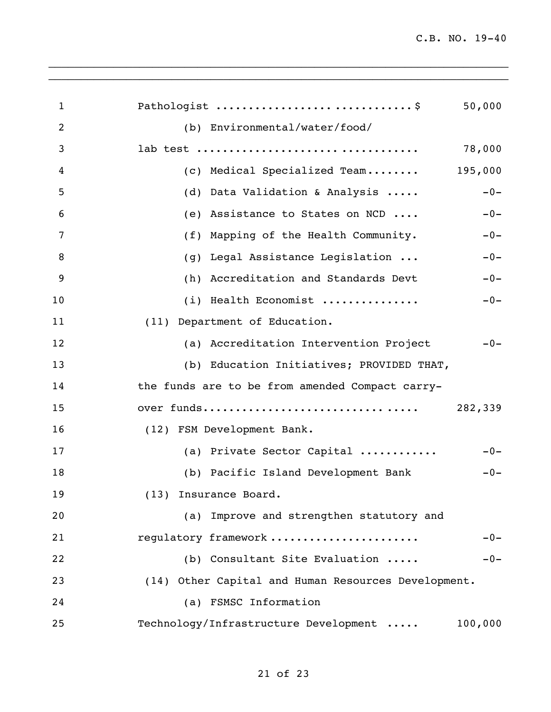| 1  | Pathologist \$<br>50,000                            |
|----|-----------------------------------------------------|
| 2  | (b) Environmental/water/food/                       |
| 3  | 78,000                                              |
| 4  | (c) Medical Specialized Team 195,000                |
| 5  | Data Validation & Analysis<br>$-0-$<br>(d)          |
| 6  | Assistance to States on NCD<br>(e)<br>$-0-$         |
| 7  | (f)<br>Mapping of the Health Community.<br>$-0-$    |
| 8  | Legal Assistance Legislation<br>$-0-$<br>(q)        |
| 9  | Accreditation and Standards Devt<br>$-0-$<br>(h)    |
| 10 | (i) Health Economist<br>$-0-$                       |
| 11 | (11) Department of Education.                       |
| 12 | (a) Accreditation Intervention Project<br>$-0-$     |
| 13 | (b) Education Initiatives; PROVIDED THAT,           |
| 14 | the funds are to be from amended Compact carry-     |
| 15 | over funds<br>282,339                               |
| 16 | (12) FSM Development Bank.                          |
| 17 | (a) Private Sector Capital<br>$-0-$                 |
| 18 | (b) Pacific Island Development Bank<br>$-0-$        |
| 19 | (13) Insurance Board.                               |
| 20 | (a) Improve and strengthen statutory and            |
| 21 | regulatory framework<br>$-0-$                       |
| 22 | (b) Consultant Site Evaluation<br>$-0-$             |
| 23 | (14) Other Capital and Human Resources Development. |
| 24 | (a) FSMSC Information                               |
| 25 | Technology/Infrastructure Development<br>100,000    |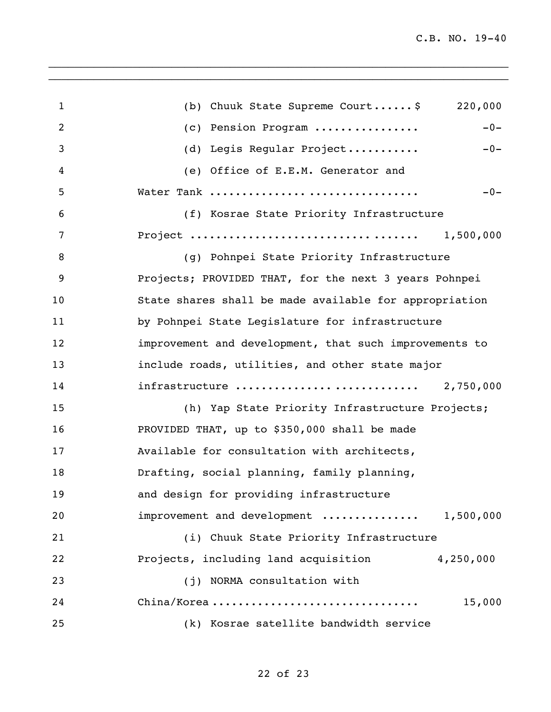| $\mathbf{1}$   | (b) Chuuk State Supreme Court \$<br>220,000            |
|----------------|--------------------------------------------------------|
| $\overline{2}$ | $-0-$<br>(c) Pension Program                           |
| 3              | (d) Legis Regular Project<br>$-0-$                     |
| 4              | (e) Office of E.E.M. Generator and                     |
| 5              | $-0-$<br>Water Tank                                    |
| 6              | (f) Kosrae State Priority Infrastructure               |
| 7              | 1,500,000                                              |
| 8              | (g) Pohnpei State Priority Infrastructure              |
| 9              | Projects; PROVIDED THAT, for the next 3 years Pohnpei  |
| 10             | State shares shall be made available for appropriation |
| 11             | by Pohnpei State Legislature for infrastructure        |
| 12             | improvement and development, that such improvements to |
| 13             | include roads, utilities, and other state major        |
| 14             | infrastructure  2,750,000                              |
| 15             | (h) Yap State Priority Infrastructure Projects;        |
| 16             | PROVIDED THAT, up to \$350,000 shall be made           |
| 17             | Available for consultation with architects,            |
| 18             | Drafting, social planning, family planning,            |
| 19             | and design for providing infrastructure                |
| 20             | improvement and development  1,500,000                 |
| 21             | (i) Chuuk State Priority Infrastructure                |
| 22             | Projects, including land acquisition<br>4,250,000      |
| 23             | (j) NORMA consultation with                            |
| 24             | 15,000<br>China/Korea                                  |
| 25             | (k) Kosrae satellite bandwidth service                 |